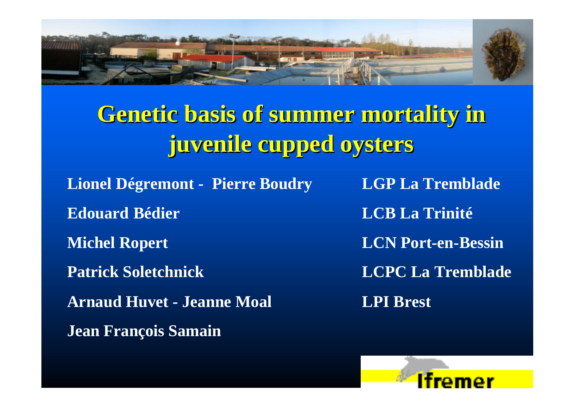

# **Genetic basis of summer mortality in juvenile cupped oysters**

**Lionel Dégremont - Pierre Boudry LGP La Tremblade Edouard Bédier LCB La Trinité Michel Ropert LCN Port-en-Bessin Patrick Soletchnick LCPC La Tremblade Arnaud Huvet - Jeanne Moal LPI Brest Jean François Samain**

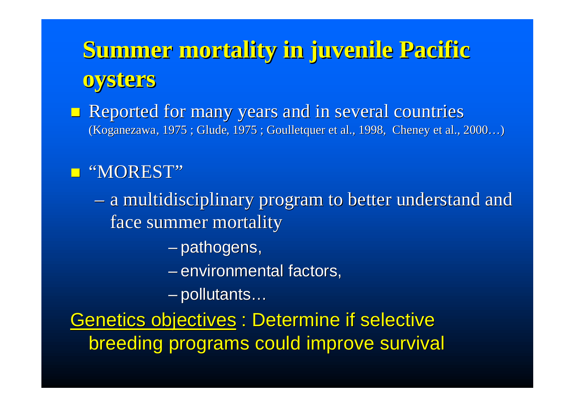**Summer mortality in juvenile Pacific oysters**

**n Reported for many years and in several countries** (Koganezawa, 1975 ; Glude, 1975 ; Goulletquer et al., 1998, Cheney et al., 2000…)

#### **n** "MOREST"

– a multidisciplinary program to better understand and face summer mortality

– pathogens,

– environmental factors,

– pollutants…

Genetics objectives : Determine if selective breeding programs could improve survival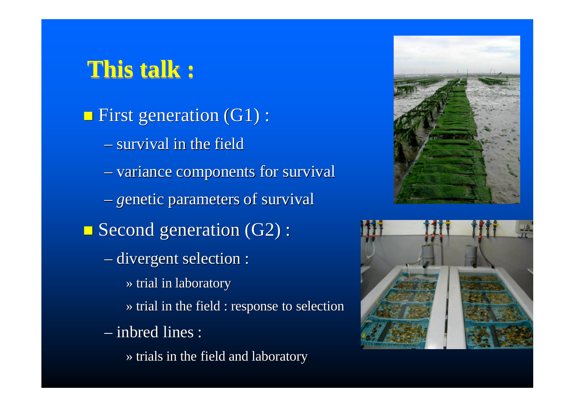# **This talk :**

 $\Box$  First generation (G1) : – survival in the field – variance components for survival – *g*enetic parameters of survival  $\Box$  Second generation (G2) : – divergent selection : » trial in laboratory » trial in the field : response to selection – inbred lines : » trials in the field and laboratory



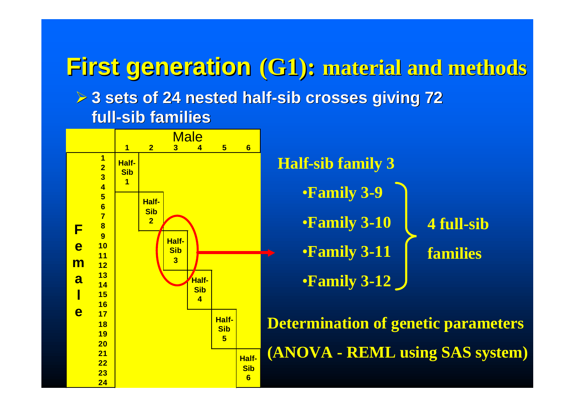**First generation (G1): material and methods ▶ 3 sets of 24 nested half-sib crosses giving 72 full-sib families**

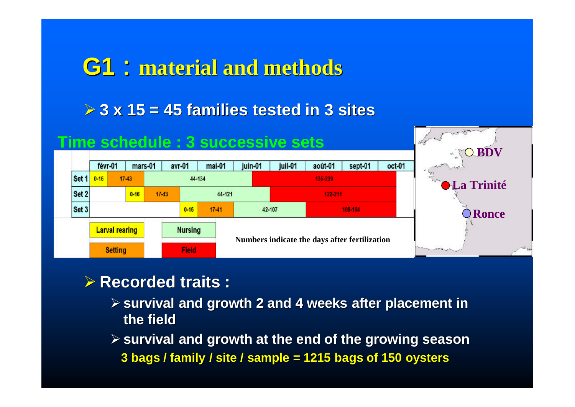## **G1** : **material and methods**

 $\geq 3$  x 15 = 45 families tested in 3 sites



#### **▶ Recorded traits :**

ÿ **survival and growth 2 and 4 weeks after placement in the field**

ÿ **survival and growth at the end of the growing season 3 bags / family / site / sample = 1215 bags of 150 oysters**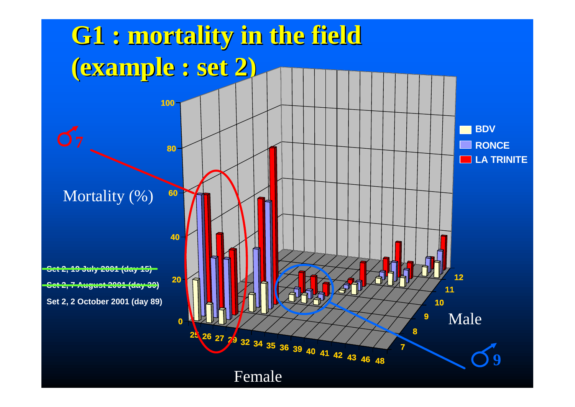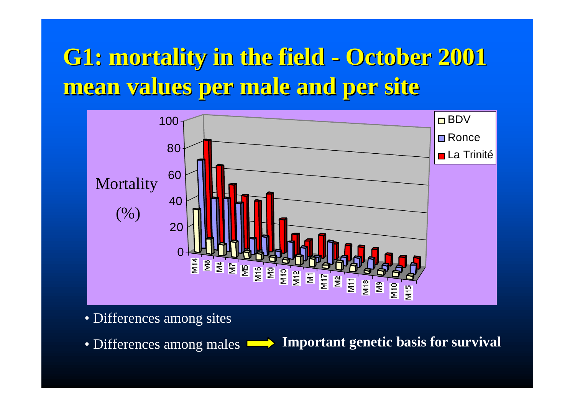# **G1: mortality in the field - October 2001 mean values per male and per site**



• Differences among sites

• Differences among males **Important genetic basis for survival**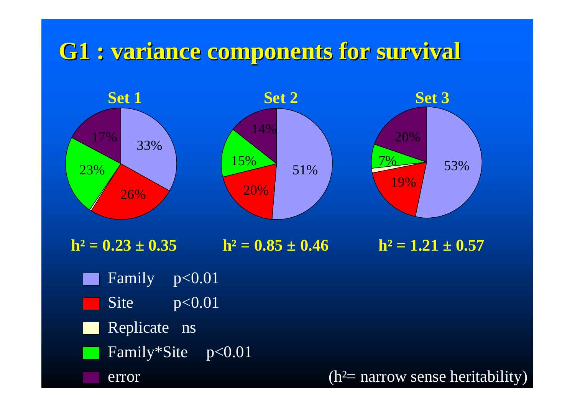## **G1 : variance components for survival**

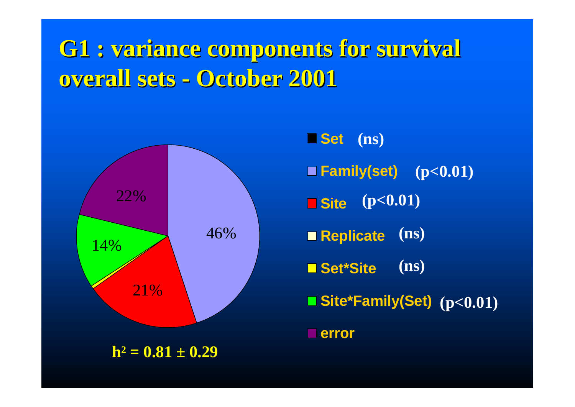# **G1 : variance components for survival overall sets - October 2001**



 $h^2 = 0.81 \pm 0.29$ 

**Set (ns) Family(set) (p<0.01) Site (p<0.01) Replicate Set\*Site Site\*Family(Set) (p<0.01) error (ns) (ns)**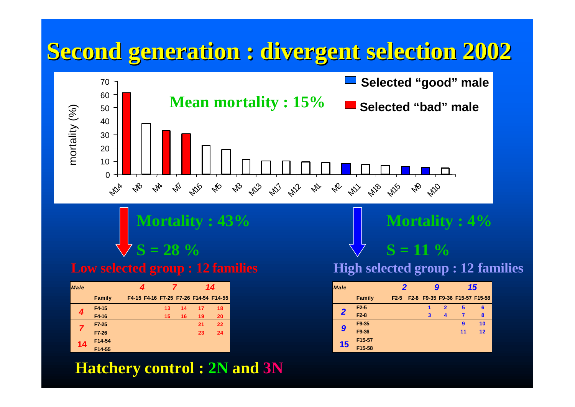## **Second generation : divergent selection 2002**



**Mortality : 43% S = 28 %**

| <b>Male</b> |               | 4                                     |    |    | 14 |    |  |  |
|-------------|---------------|---------------------------------------|----|----|----|----|--|--|
|             | <b>Family</b> | F4-15 F4-16 F7-25 F7-26 F14-54 F14-55 |    |    |    |    |  |  |
| 4           | F4-15         |                                       | 13 | 14 | 17 | 18 |  |  |
|             | F4-16         |                                       | 15 | 16 | 19 | 20 |  |  |
|             | F7-25         |                                       |    |    | 21 | 22 |  |  |
|             | F7-26         |                                       |    |    | 23 | 24 |  |  |
| 14          | F14-54        |                                       |    |    |    |    |  |  |
|             | F14-55        |                                       |    |    |    |    |  |  |

#### **Hatchery control : 2N and 3N**

**Mortality : 4%**

**Low selected group : 12 families High selected group : 12 families** 

 $S = 11\%$ 

| <b>Male</b>             |               | 2                 | g |                         | 15                             |    |  |  |
|-------------------------|---------------|-------------------|---|-------------------------|--------------------------------|----|--|--|
|                         | <b>Family</b> | F <sub>2</sub> -5 |   |                         | F2-8 F9-35 F9-36 F15-57 F15-58 |    |  |  |
| $\overline{\mathbf{2}}$ | $F2-5$        |                   | 1 | $\overline{\mathbf{2}}$ | 5                              | 6  |  |  |
|                         | $F2-8$        |                   | 3 | $\blacktriangle$        | 7                              | 8  |  |  |
| 9                       | F9-35         |                   |   |                         | 9                              | 10 |  |  |
|                         | F9-36         |                   |   |                         | 11                             | 12 |  |  |
| 15                      | F15-57        |                   |   |                         |                                |    |  |  |
|                         | F15-58        |                   |   |                         |                                |    |  |  |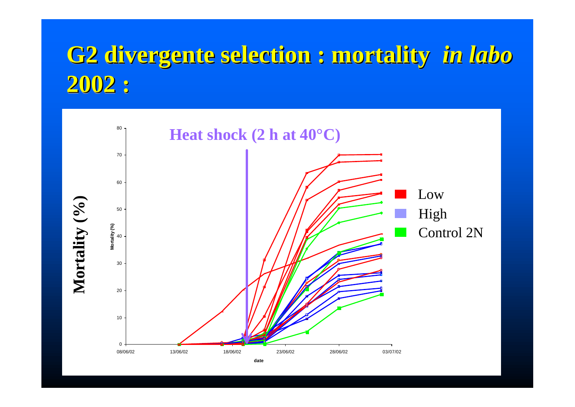# **G2 divergente selection : mortality** *in labo* **divergente selection : mortality** *in labo* **2002 : 2002 :**

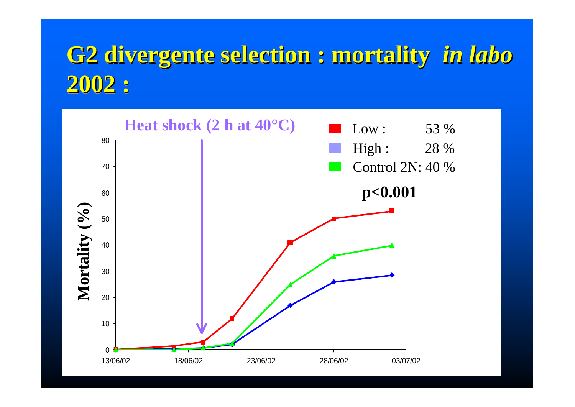# **G2 divergente selection : mortality** *in labo* **divergente selection : mortality** *in labo* **2002 : 2002 :**

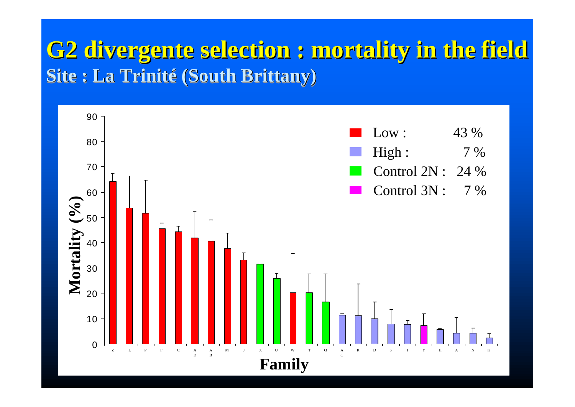## **G2 divergente selection : mortality in the field G2 divergente selection : mortality in the field Site : La Trinité (South Brittany) Site : La Trinité (South Brittany)**

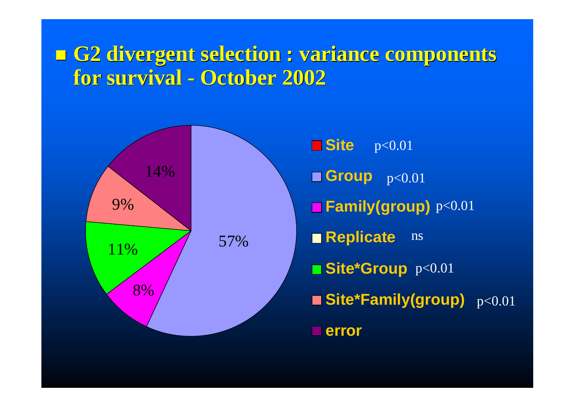#### n **G2 divergent selection : variance components for survival - October 2002**

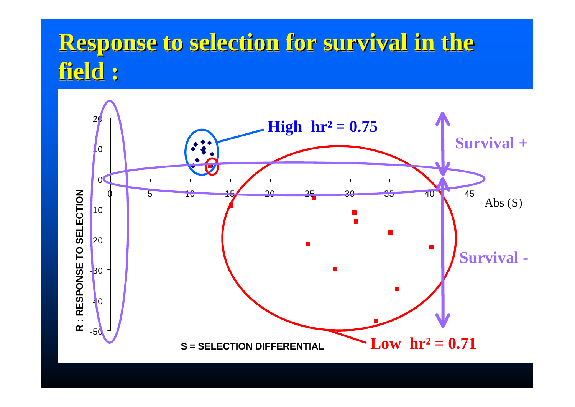# <mark>Response to selection for survival in the</mark><br>field : **field :**

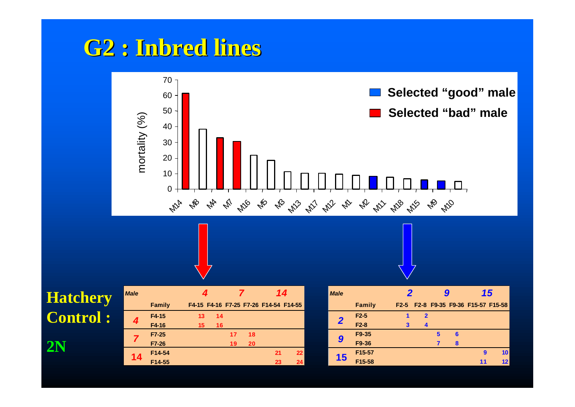### **G2 : Inbred lines**



#### **Hatchery**  $Contro$

**2N**

|    | F4-15   | 13 | 14 |    |    |    |    |
|----|---------|----|----|----|----|----|----|
|    | F4-16   | 15 | 16 |    |    |    |    |
|    | $F7-25$ |    |    | 17 | 18 |    |    |
|    | F7-26   |    |    | 19 | 20 |    |    |
| 14 | F14-54  |    |    |    |    | 21 | 22 |
|    | F14-55  |    |    |    |    | 23 | 24 |

| <b>Male</b> |               |    |    |    |    |    | 14                                    | <b>Male</b> |        |   |                            |   |    | 15                                  |                 |
|-------------|---------------|----|----|----|----|----|---------------------------------------|-------------|--------|---|----------------------------|---|----|-------------------------------------|-----------------|
|             | <b>Family</b> |    |    |    |    |    | F4-15 F4-16 F7-25 F7-26 F14-54 F14-55 |             | Family |   |                            |   |    | F2-5 F2-8 F9-35 F9-36 F15-57 F15-58 |                 |
|             | F4-15         | 13 | 14 |    |    |    |                                       |             | $F2-5$ |   | $\boldsymbol{\mathcal{P}}$ |   |    |                                     |                 |
|             | F4-16         | 15 | 16 |    |    |    |                                       |             | $F2-8$ | 3 | 4                          |   |    |                                     |                 |
|             | F7-25         |    |    | 17 | 18 |    |                                       |             | F9-35  |   |                            | 5 | -6 |                                     |                 |
|             | F7-26         |    |    | 19 | 20 |    |                                       | 9           | F9-36  |   |                            |   | R  |                                     |                 |
| 14          | F14-54        |    |    |    |    | 21 | 22                                    |             | F15-57 |   |                            |   |    | 9                                   | 10 <sub>1</sub> |
|             | F14-55        |    |    |    |    | 23 | 24 <sub>1</sub>                       | 15          | F15-58 |   |                            |   |    | 11                                  | 12              |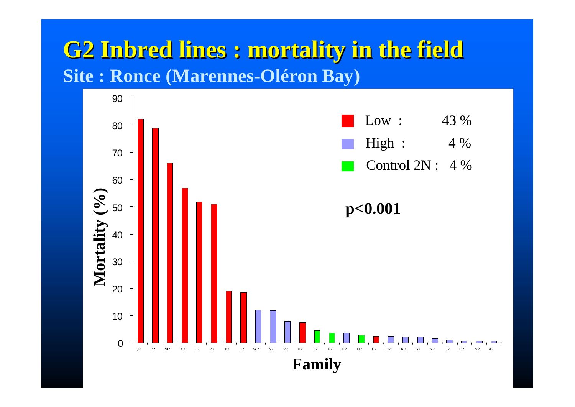### **G2 Inbred lines : mortality in the field Site : Ronce (Marennes-Oléron Bay)**

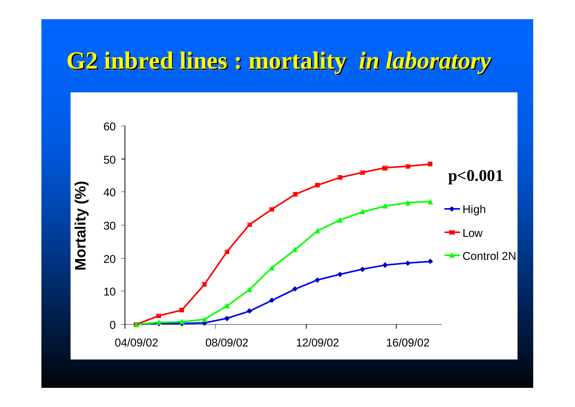# **G2 inbred lines inbred lines : mortality mortality** *in laboratory laboratory*

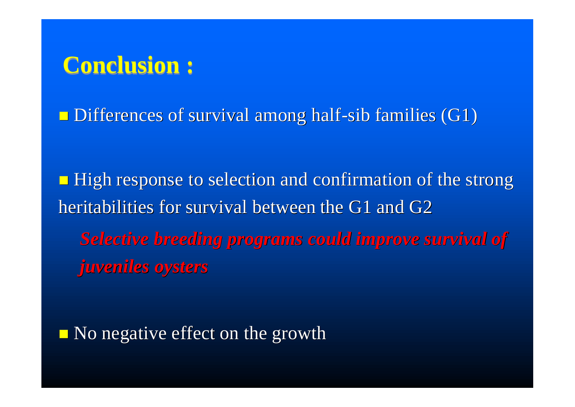# **Conclusion :**

 $\Box$  Differences of survival among half-sib families (G1)

**High response to selection and confirmation of the strong** heritabilities for survival between the G1 and G2 *Selective breeding programs could improve survival of juveniles oysters*

 $\blacksquare$  No negative effect on the growth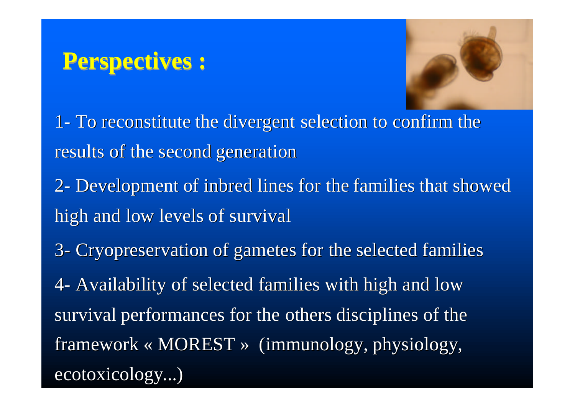# **Perspectives :**



- 1- To reconstitute the divergent selection to confirm the results of the second generation
- 2- Development of inbred lines for the families that showed high and low levels of survival
- 3- Cryopreservation of gametes for the selected families
- 4- Availability of selected families with high and low survival performances for the others disciplines of the framework « MOREST » (immunology, physiology, ecotoxicology...)